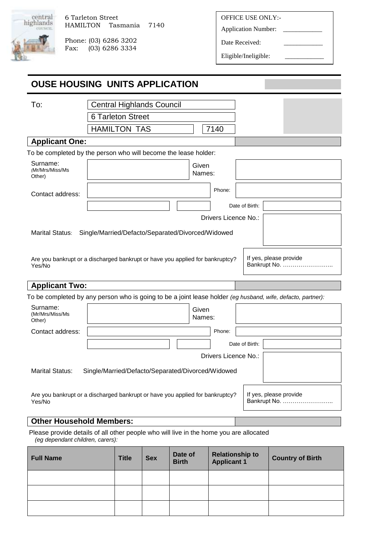

Phone: (03) 6286 3202 Fax: (03) 6286 3334 OFFICE USE ONLY:-

Application Number: \_

Date Received:

Eligible/Ineligible:

| <b>OUSE HOUSING UNITS APPLICATION</b>                                                                                      |                                                   |                          |            |              |                 |                      |                                                   |  |                        |              |  |
|----------------------------------------------------------------------------------------------------------------------------|---------------------------------------------------|--------------------------|------------|--------------|-----------------|----------------------|---------------------------------------------------|--|------------------------|--------------|--|
| To:                                                                                                                        | <b>Central Highlands Council</b>                  |                          |            |              |                 |                      |                                                   |  |                        |              |  |
|                                                                                                                            |                                                   | <b>6 Tarleton Street</b> |            |              |                 |                      |                                                   |  |                        |              |  |
|                                                                                                                            |                                                   | <b>HAMILTON TAS</b>      |            |              |                 | 7140                 |                                                   |  |                        |              |  |
| <b>Applicant One:</b>                                                                                                      |                                                   |                          |            |              |                 |                      |                                                   |  |                        |              |  |
| To be completed by the person who will become the lease holder:                                                            |                                                   |                          |            |              |                 |                      |                                                   |  |                        |              |  |
| Surname:<br>(Mr/Mrs/Miss/Ms<br>Other)                                                                                      |                                                   |                          |            |              | Given<br>Names: |                      |                                                   |  |                        |              |  |
| Contact address:                                                                                                           |                                                   |                          |            |              |                 | Phone:               |                                                   |  |                        |              |  |
|                                                                                                                            |                                                   |                          |            |              |                 |                      | Date of Birth:                                    |  |                        |              |  |
|                                                                                                                            |                                                   |                          |            |              |                 | Drivers Licence No.: |                                                   |  |                        |              |  |
| Marital Status:                                                                                                            | Single/Married/Defacto/Separated/Divorced/Widowed |                          |            |              |                 |                      |                                                   |  |                        |              |  |
| Are you bankrupt or a discharged bankrupt or have you applied for bankruptcy?<br>Yes/No                                    |                                                   |                          |            |              |                 |                      |                                                   |  | If yes, please provide | Bankrupt No. |  |
| <b>Applicant Two:</b>                                                                                                      |                                                   |                          |            |              |                 |                      |                                                   |  |                        |              |  |
| To be completed by any person who is going to be a joint lease holder (eg husband, wife, defacto, partner):                |                                                   |                          |            |              |                 |                      |                                                   |  |                        |              |  |
| Surname:<br>(Mr/Mrs/Miss/Ms<br>Other)                                                                                      |                                                   |                          |            |              | Given<br>Names: |                      |                                                   |  |                        |              |  |
| Contact address:                                                                                                           |                                                   |                          |            |              |                 | Phone:               |                                                   |  |                        |              |  |
|                                                                                                                            |                                                   |                          |            |              |                 |                      | Date of Birth:                                    |  |                        |              |  |
|                                                                                                                            |                                                   |                          |            |              |                 | Drivers Licence No.: |                                                   |  |                        |              |  |
| <b>Marital Status:</b>                                                                                                     | Single/Married/Defacto/Separated/Divorced/Widowed |                          |            |              |                 |                      |                                                   |  |                        |              |  |
| Are you bankrupt or a discharged bankrupt or have you applied for bankruptcy?<br>Yes/No                                    |                                                   |                          |            |              |                 |                      |                                                   |  | If yes, please provide | Bankrupt No. |  |
| <b>Other Household Members:</b>                                                                                            |                                                   |                          |            |              |                 |                      |                                                   |  |                        |              |  |
| Please provide details of all other people who will live in the home you are allocated<br>(eg dependant children, carers): |                                                   |                          |            |              |                 |                      |                                                   |  |                        |              |  |
| <b>Full Name</b>                                                                                                           |                                                   | <b>Title</b>             | <b>Sex</b> | <b>Birth</b> | Date of         | <b>Applicant 1</b>   | <b>Relationship to</b><br><b>Country of Birth</b> |  |                        |              |  |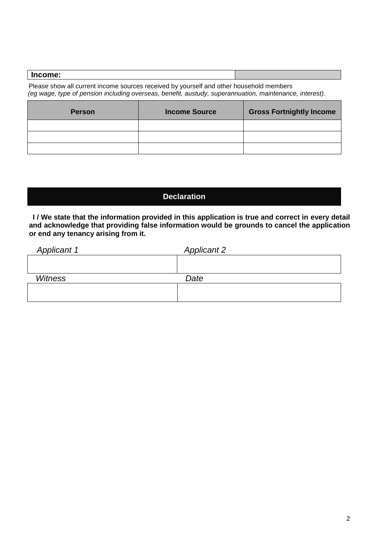# **Income:**

 Please show all current income sources received by yourself and other household members *(eg wage, type of pension including overseas, benefit, austudy, superannuation, maintenance, interest).* 

| <b>Person</b> | <b>Income Source</b> | <b>Gross Fortnightly Income</b> |
|---------------|----------------------|---------------------------------|
|               |                      |                                 |
|               |                      |                                 |
|               |                      |                                 |

# **Declaration**

**I / We state that the information provided in this application is true and correct in every detail and acknowledge that providing false information would be grounds to cancel the application or end any tenancy arising from it.**

| <b>Applicant 1</b> | <b>Applicant 2</b> |
|--------------------|--------------------|
|                    |                    |
|                    |                    |
| <b>Witness</b>     | Date               |
|                    |                    |
|                    |                    |